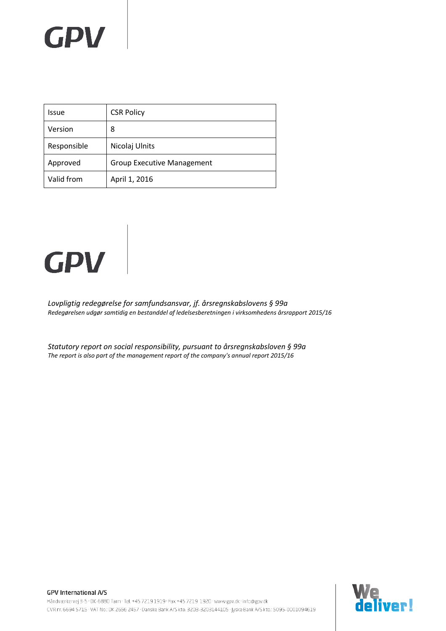### **GPV**

| Issue       | <b>CSR Policy</b>                 |
|-------------|-----------------------------------|
| Version     | 8                                 |
| Responsible | Nicolaj Ulnits                    |
| Approved    | <b>Group Executive Management</b> |
| Valid from  | April 1, 2016                     |

# **GPV**

*Lovpligtig redegørelse for samfundsansvar, jf. årsregnskabslovens § 99a Redegørelsen udgør samtidig en bestanddel af ledelsesberetningen i virksomhedens årsrapport 2015/16*

*Statutory report on social responsibility, pursuant to årsregnskabsloven § 99a The report is also part of the management report of the company's annual report 2015/16*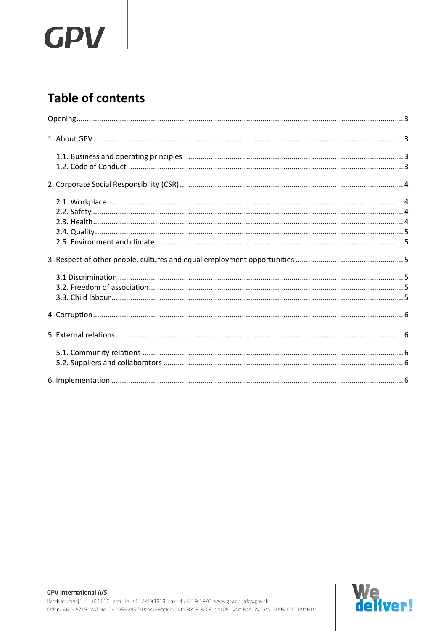# **GPV**

### **Table of contents**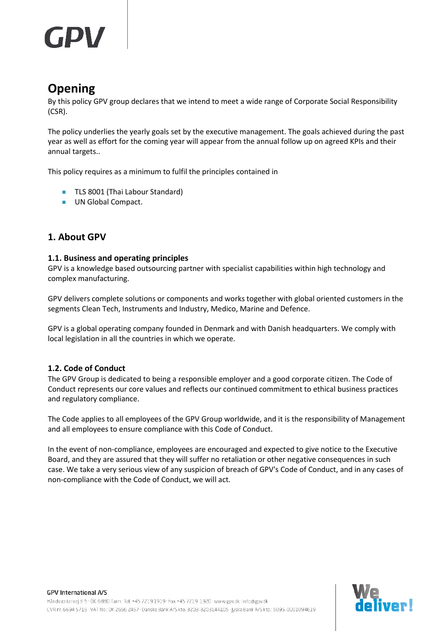### <span id="page-2-0"></span>**Opening**

By this policy GPV group declares that we intend to meet a wide range of Corporate Social Responsibility (CSR).

The policy underlies the yearly goals set by the executive management. The goals achieved during the past year as well as effort for the coming year will appear from the annual follow up on agreed KPIs and their annual targets..

This policy requires as a minimum to fulfil the principles contained in

- **TLS 8001 (Thai Labour Standard)**
- **UN Global Compact.**

#### <span id="page-2-1"></span>**1. About GPV**

#### <span id="page-2-2"></span>**1.1. Business and operating principles**

GPV is a knowledge based outsourcing partner with specialist capabilities within high technology and complex manufacturing.

GPV delivers complete solutions or components and works together with global oriented customers in the segments Clean Tech, Instruments and Industry, Medico, Marine and Defence.

GPV is a global operating company founded in Denmark and with Danish headquarters. We comply with local legislation in all the countries in which we operate.

#### <span id="page-2-3"></span>**1.2. Code of Conduct**

The GPV Group is dedicated to being a responsible employer and a good corporate citizen. The Code of Conduct represents our core values and reflects our continued commitment to ethical business practices and regulatory compliance.

The Code applies to all employees of the GPV Group worldwide, and it is the responsibility of Management and all employees to ensure compliance with this Code of Conduct.

In the event of non-compliance, employees are encouraged and expected to give notice to the Executive Board, and they are assured that they will suffer no retaliation or other negative consequences in such case. We take a very serious view of any suspicion of breach of GPV's Code of Conduct, and in any cases of non-compliance with the Code of Conduct, we will act.

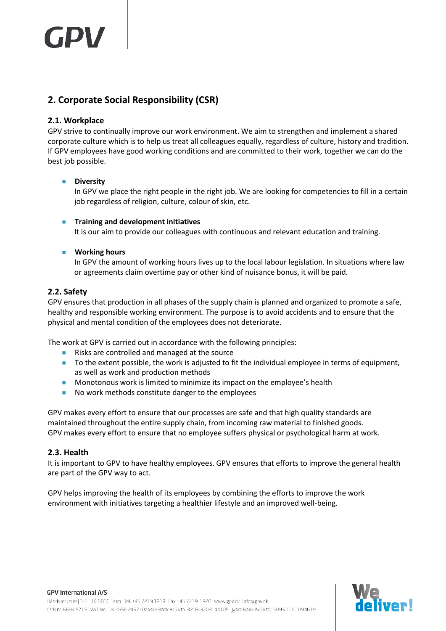### <span id="page-3-0"></span>**2. Corporate Social Responsibility (CSR)**

#### <span id="page-3-1"></span>**2.1. Workplace**

GPV strive to continually improve our work environment. We aim to strengthen and implement a shared corporate culture which is to help us treat all colleagues equally, regardless of culture, history and tradition. If GPV employees have good working conditions and are committed to their work, together we can do the best job possible.

#### **Diversity**

In GPV we place the right people in the right job. We are looking for competencies to fill in a certain job regardless of religion, culture, colour of skin, etc.

#### **Training and development initiatives**

It is our aim to provide our colleagues with continuous and relevant education and training.

#### **Working hours**

In GPV the amount of working hours lives up to the local labour legislation. In situations where law or agreements claim overtime pay or other kind of nuisance bonus, it will be paid.

#### <span id="page-3-2"></span>**2.2. Safety**

GPV ensures that production in all phases of the supply chain is planned and organized to promote a safe, healthy and responsible working environment. The purpose is to avoid accidents and to ensure that the physical and mental condition of the employees does not deteriorate.

The work at GPV is carried out in accordance with the following principles:

- Risks are controlled and managed at the source
- To the extent possible, the work is adjusted to fit the individual employee in terms of equipment, as well as work and production methods
- **Monotonous work is limited to minimize its impact on the employee's health**
- No work methods constitute danger to the employees

GPV makes every effort to ensure that our processes are safe and that high quality standards are maintained throughout the entire supply chain, from incoming raw material to finished goods. GPV makes every effort to ensure that no employee suffers physical or psychological harm at work.

#### <span id="page-3-3"></span>**2.3. Health**

It is important to GPV to have healthy employees. GPV ensures that efforts to improve the general health are part of the GPV way to act.

GPV helps improving the health of its employees by combining the efforts to improve the work environment with initiatives targeting a healthier lifestyle and an improved well-being.

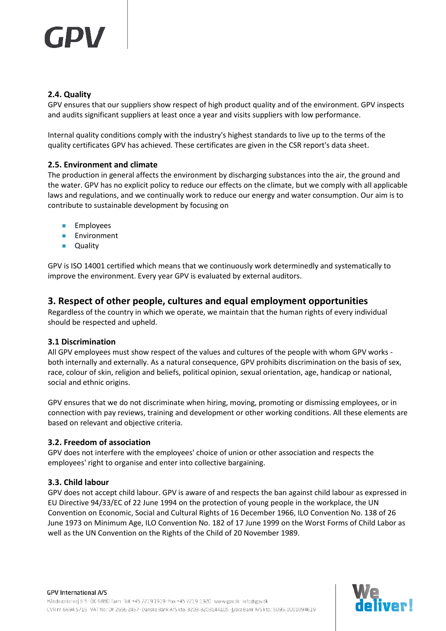## TDW

#### <span id="page-4-0"></span>**2.4. Quality**

GPV ensures that our suppliers show respect of high product quality and of the environment. GPV inspects and audits significant suppliers at least once a year and visits suppliers with low performance.

Internal quality conditions comply with the industry's highest standards to live up to the terms of the quality certificates GPV has achieved. These certificates are given in the CSR report's data sheet.

#### <span id="page-4-1"></span>**2.5. Environment and climate**

The production in general affects the environment by discharging substances into the air, the ground and the water. GPV has no explicit policy to reduce our effects on the climate, but we comply with all applicable laws and regulations, and we continually work to reduce our energy and water consumption. Our aim is to contribute to sustainable development by focusing on

- **Employees**
- **Environment**
- **Quality**

GPV is ISO 14001 certified which means that we continuously work determinedly and systematically to improve the environment. Every year GPV is evaluated by external auditors.

#### <span id="page-4-2"></span>**3. Respect of other people, cultures and equal employment opportunities**

Regardless of the country in which we operate, we maintain that the human rights of every individual should be respected and upheld.

#### <span id="page-4-3"></span>**3.1 Discrimination**

All GPV employees must show respect of the values and cultures of the people with whom GPV works both internally and externally. As a natural consequence, GPV prohibits discrimination on the basis of sex, race, colour of skin, religion and beliefs, political opinion, sexual orientation, age, handicap or national, social and ethnic origins.

GPV ensures that we do not discriminate when hiring, moving, promoting or dismissing employees, or in connection with pay reviews, training and development or other working conditions. All these elements are based on relevant and objective criteria.

#### <span id="page-4-4"></span>**3.2. Freedom of association**

GPV does not interfere with the employees' choice of union or other association and respects the employees' right to organise and enter into collective bargaining.

#### <span id="page-4-5"></span>**3.3. Child labour**

GPV does not accept child labour. GPV is aware of and respects the ban against child labour as expressed in EU Directive 94/33/EC of 22 June 1994 on the protection of young people in the workplace, the UN Convention on Economic, Social and Cultural Rights of 16 December 1966, ILO Convention No. 138 of 26 June 1973 on Minimum Age, ILO Convention No. 182 of 17 June 1999 on the Worst Forms of Child Labor as well as the UN Convention on the Rights of the Child of 20 November 1989.